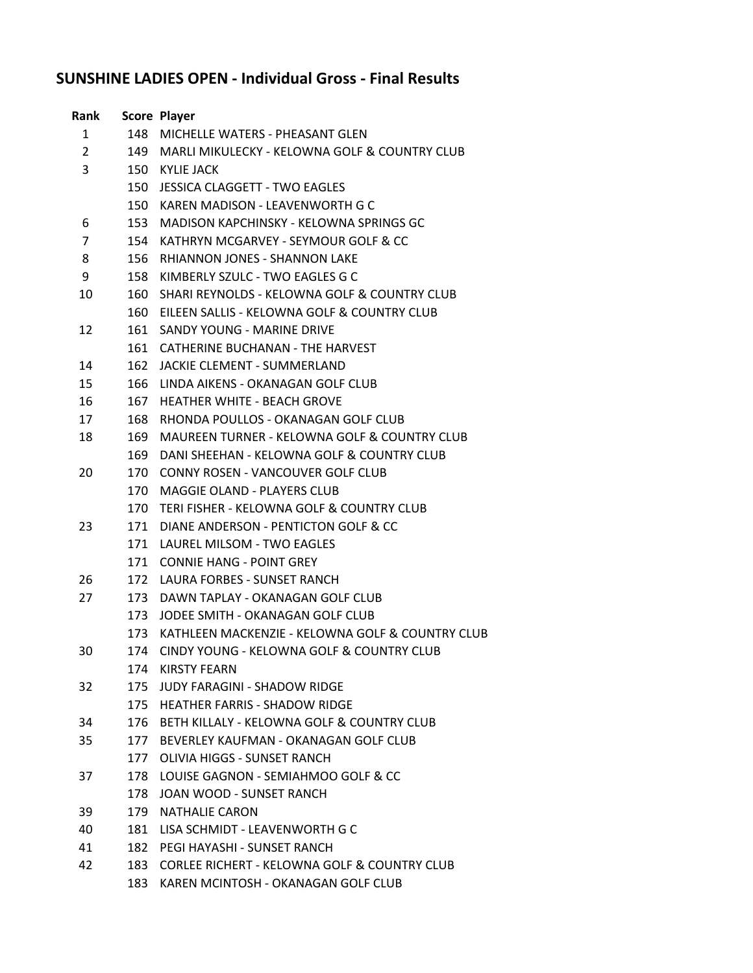## **SUNSHINE LADIES OPEN - Individual Gross - Final Results**

| Rank           |     | <b>Score Player</b>                                     |
|----------------|-----|---------------------------------------------------------|
| 1              | 148 | MICHELLE WATERS - PHEASANT GLEN                         |
| $\overline{2}$ | 149 | MARLI MIKULECKY - KELOWNA GOLF & COUNTRY CLUB           |
| 3              | 150 | <b>KYLIE JACK</b>                                       |
|                | 150 | JESSICA CLAGGETT - TWO EAGLES                           |
|                | 150 | KAREN MADISON - LEAVENWORTH G C                         |
| 6              | 153 | MADISON KAPCHINSKY - KELOWNA SPRINGS GC                 |
| 7              | 154 | KATHRYN MCGARVEY - SEYMOUR GOLF & CC                    |
| 8              | 156 | <b>RHIANNON JONES - SHANNON LAKE</b>                    |
| 9              | 158 | KIMBERLY SZULC - TWO EAGLES G C                         |
| 10             | 160 | SHARI REYNOLDS - KELOWNA GOLF & COUNTRY CLUB            |
|                |     | 160 EILEEN SALLIS - KELOWNA GOLF & COUNTRY CLUB         |
| 12             | 161 | SANDY YOUNG - MARINE DRIVE                              |
|                | 161 | CATHERINE BUCHANAN - THE HARVEST                        |
| 14             | 162 | <b>JACKIE CLEMENT - SUMMERLAND</b>                      |
| 15             | 166 | LINDA AIKENS - OKANAGAN GOLF CLUB                       |
| 16             | 167 | <b>HEATHER WHITE - BEACH GROVE</b>                      |
| 17             | 168 | RHONDA POULLOS - OKANAGAN GOLF CLUB                     |
| 18             | 169 | <b>MAUREEN TURNER - KELOWNA GOLF &amp; COUNTRY CLUB</b> |
|                | 169 | DANI SHEEHAN - KELOWNA GOLF & COUNTRY CLUB              |
| 20             | 170 | CONNY ROSEN - VANCOUVER GOLF CLUB                       |
|                | 170 | <b>MAGGIE OLAND - PLAYERS CLUB</b>                      |
|                | 170 | TERI FISHER - KELOWNA GOLF & COUNTRY CLUB               |
| 23             | 171 | DIANE ANDERSON - PENTICTON GOLF & CC                    |
|                | 171 | LAUREL MILSOM - TWO EAGLES                              |
|                | 171 | <b>CONNIE HANG - POINT GREY</b>                         |
| 26             | 172 | LAURA FORBES - SUNSET RANCH                             |
| 27             | 173 | DAWN TAPLAY - OKANAGAN GOLF CLUB                        |
|                | 173 | JODEE SMITH - OKANAGAN GOLF CLUB                        |
|                | 173 | KATHLEEN MACKENZIE - KELOWNA GOLF & COUNTRY CLUB        |
| 30             | 174 | CINDY YOUNG - KELOWNA GOLF & COUNTRY CLUB               |
|                | 174 | KIRSTY FEARN                                            |
| 32             | 175 | <b>JUDY FARAGINI - SHADOW RIDGE</b>                     |
|                |     | 175 HEATHER FARRIS - SHADOW RIDGE                       |
| 34             | 176 | BETH KILLALY - KELOWNA GOLF & COUNTRY CLUB              |
| 35             | 177 | BEVERLEY KAUFMAN - OKANAGAN GOLF CLUB                   |
|                | 177 | OLIVIA HIGGS - SUNSET RANCH                             |
| 37             |     | 178 LOUISE GAGNON - SEMIAHMOO GOLF & CC                 |
|                | 178 | JOAN WOOD - SUNSET RANCH                                |
| 39             | 179 | <b>NATHALIE CARON</b>                                   |
| 40             | 181 | LISA SCHMIDT - LEAVENWORTH G C                          |
| 41             | 182 | PEGI HAYASHI - SUNSET RANCH                             |
| 42             | 183 | <b>CORLEE RICHERT - KELOWNA GOLF &amp; COUNTRY CLUB</b> |
|                | 183 | KAREN MCINTOSH - OKANAGAN GOLF CLUB                     |